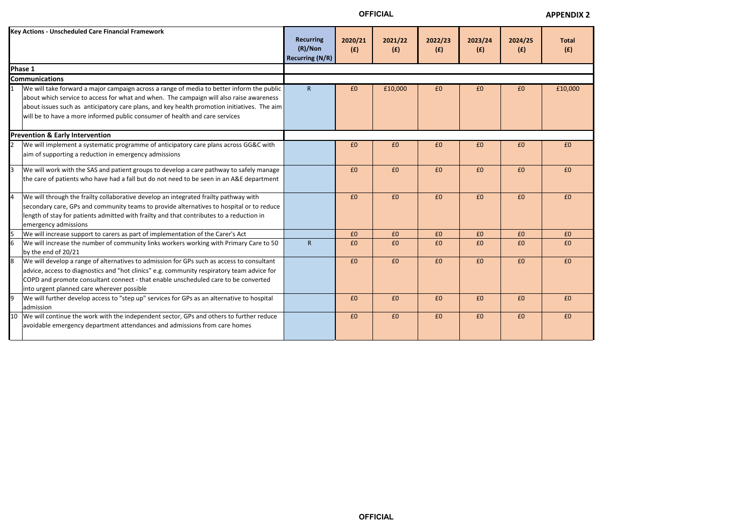**OFFICIAL**

| ٠ | a. |  |
|---|----|--|

## **APPENDIX 2**



|                | <b>Key Actions - Unscheduled Care Financial Framework</b>                                                                                                                                                                                                                                                                                                          | <b>Recurring</b><br>$(R)/N$ on<br><b>Recurring (N/R)</b> | 2020/21<br>(E) | 2021/22<br>(E) | 2022/23<br>(E) | 2023/24<br>(E) | 2024/25<br>(E) | <b>Total</b><br>(E) |
|----------------|--------------------------------------------------------------------------------------------------------------------------------------------------------------------------------------------------------------------------------------------------------------------------------------------------------------------------------------------------------------------|----------------------------------------------------------|----------------|----------------|----------------|----------------|----------------|---------------------|
|                | Phase 1                                                                                                                                                                                                                                                                                                                                                            |                                                          |                |                |                |                |                |                     |
|                | <b>Communications</b>                                                                                                                                                                                                                                                                                                                                              |                                                          |                |                |                |                |                |                     |
|                | We will take forward a major campaign across a range of media to better inform the public<br>about which service to access for what and when. The campaign will also raise awareness<br>about issues such as anticipatory care plans, and key health promotion initiatives. The aim<br>will be to have a more informed public consumer of health and care services | $\mathsf{R}$                                             | £0             | £10,000        | £0             | £0             | £0             | £10,000             |
|                | <b>Prevention &amp; Early Intervention</b>                                                                                                                                                                                                                                                                                                                         |                                                          |                |                |                |                |                |                     |
|                | We will implement a systematic programme of anticipatory care plans across GG&C with<br>aim of supporting a reduction in emergency admissions                                                                                                                                                                                                                      |                                                          | £0             | £0             | £0             | £0             | £0             | £0                  |
| 3              | We will work with the SAS and patient groups to develop a care pathway to safely manage<br>the care of patients who have had a fall but do not need to be seen in an A&E department                                                                                                                                                                                |                                                          | £0             | £0             | £0             | £0             | £0             | £0                  |
| $\overline{4}$ | We will through the frailty collaborative develop an integrated frailty pathway with<br>secondary care, GPs and community teams to provide alternatives to hospital or to reduce<br>length of stay for patients admitted with frailty and that contributes to a reduction in<br>emergency admissions                                                               |                                                          | £0             | £0             | £0             | £0             | £0             | £0                  |
|                | We will increase support to carers as part of implementation of the Carer's Act                                                                                                                                                                                                                                                                                    |                                                          | £0             | £0             | £0             | £0             | £0             | £0                  |
|                | We will increase the number of community links workers working with Primary Care to 50<br>by the end of 20/21                                                                                                                                                                                                                                                      | R                                                        | £0             | £0             | £0             | £0             | £0             | £0                  |
|                | We will develop a range of alternatives to admission for GPs such as access to consultant<br>advice, access to diagnostics and "hot clinics" e.g. community respiratory team advice for<br>COPD and promote consultant connect - that enable unscheduled care to be converted<br>into urgent planned care wherever possible                                        |                                                          | £0             | £0             | £0             | £0             | £0             | £0                  |
|                | We will further develop access to "step up" services for GPs as an alternative to hospital<br>admission                                                                                                                                                                                                                                                            |                                                          | £0             | £0             | £0             | £0             | £0             | £0                  |
| 10             | We will continue the work with the independent sector, GPs and others to further reduce<br>avoidable emergency department attendances and admissions from care homes                                                                                                                                                                                               |                                                          | £0             | £0             | £0             | £0             | £0             | £0                  |